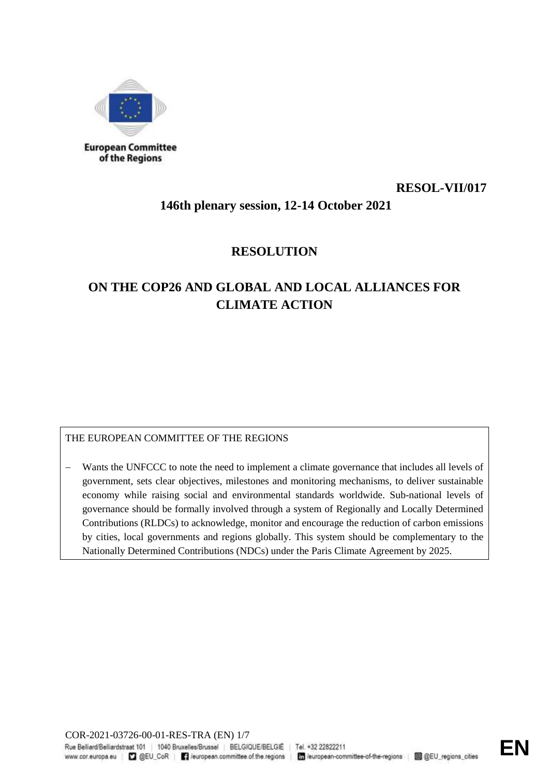

## **RESOL-VII/017**

## **146th plenary session, 12-14 October 2021**

## **RESOLUTION**

# **ON THE COP26 AND GLOBAL AND LOCAL ALLIANCES FOR CLIMATE ACTION**

### THE EUROPEAN COMMITTEE OF THE REGIONS

 Wants the UNFCCC to note the need to implement a climate governance that includes all levels of government, sets clear objectives, milestones and monitoring mechanisms, to deliver sustainable economy while raising social and environmental standards worldwide. Sub-national levels of governance should be formally involved through a system of Regionally and Locally Determined Contributions (RLDCs) to acknowledge, monitor and encourage the reduction of carbon emissions by cities, local governments and regions globally. This system should be complementary to the Nationally Determined Contributions (NDCs) under the Paris Climate Agreement by 2025.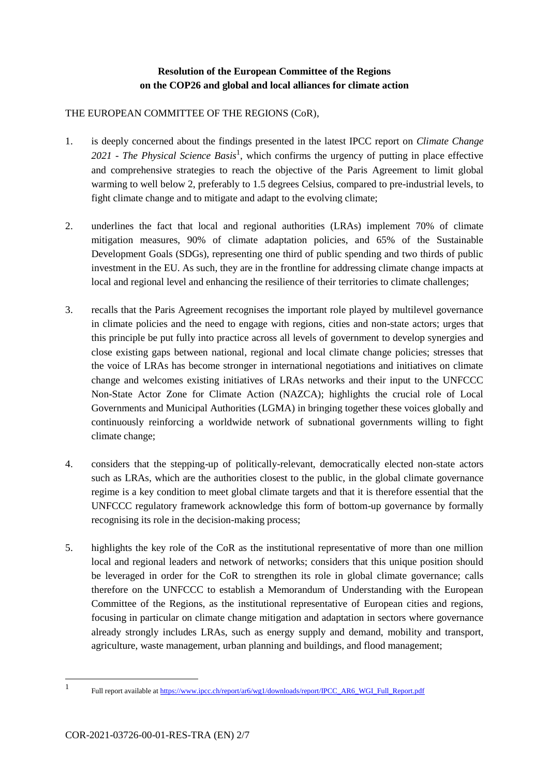### **Resolution of the European Committee of the Regions on the COP26 and global and local alliances for climate action**

#### THE EUROPEAN COMMITTEE OF THE REGIONS (CoR),

- 1. is deeply concerned about the findings presented in the latest IPCC report on *Climate Change*  2021 *- The Physical Science Basis*<sup>1</sup>, which confirms the urgency of putting in place effective and comprehensive strategies to reach the objective of the Paris Agreement to limit global warming to well below 2, preferably to 1.5 degrees Celsius, compared to pre-industrial levels, to fight climate change and to mitigate and adapt to the evolving climate;
- 2. underlines the fact that local and regional authorities (LRAs) implement 70% of climate mitigation measures, 90% of climate adaptation policies, and 65% of the Sustainable Development Goals (SDGs), representing one third of public spending and two thirds of public investment in the EU. As such, they are in the frontline for addressing climate change impacts at local and regional level and enhancing the resilience of their territories to climate challenges;
- 3. recalls that the Paris Agreement recognises the important role played by multilevel governance in climate policies and the need to engage with regions, cities and non-state actors; urges that this principle be put fully into practice across all levels of government to develop synergies and close existing gaps between national, regional and local climate change policies; stresses that the voice of LRAs has become stronger in international negotiations and initiatives on climate change and welcomes existing initiatives of LRAs networks and their input to the UNFCCC Non-State Actor Zone for Climate Action (NAZCA); highlights the crucial role of Local Governments and Municipal Authorities (LGMA) in bringing together these voices globally and continuously reinforcing a worldwide network of subnational governments willing to fight climate change;
- 4. considers that the stepping-up of politically-relevant, democratically elected non-state actors such as LRAs, which are the authorities closest to the public, in the global climate governance regime is a key condition to meet global climate targets and that it is therefore essential that the UNFCCC regulatory framework acknowledge this form of bottom-up governance by formally recognising its role in the decision-making process;
- 5. highlights the key role of the CoR as the institutional representative of more than one million local and regional leaders and network of networks; considers that this unique position should be leveraged in order for the CoR to strengthen its role in global climate governance; calls therefore on the UNFCCC to establish a Memorandum of Understanding with the European Committee of the Regions, as the institutional representative of European cities and regions, focusing in particular on climate change mitigation and adaptation in sectors where governance already strongly includes LRAs, such as energy supply and demand, mobility and transport, agriculture, waste management, urban planning and buildings, and flood management;

-

<sup>1</sup> Full report available at [https://www.ipcc.ch/report/ar6/wg1/downloads/report/IPCC\\_AR6\\_WGI\\_Full\\_Report.pdf](https://www.ipcc.ch/report/ar6/wg1/downloads/report/IPCC_AR6_WGI_Full_Report.pdf)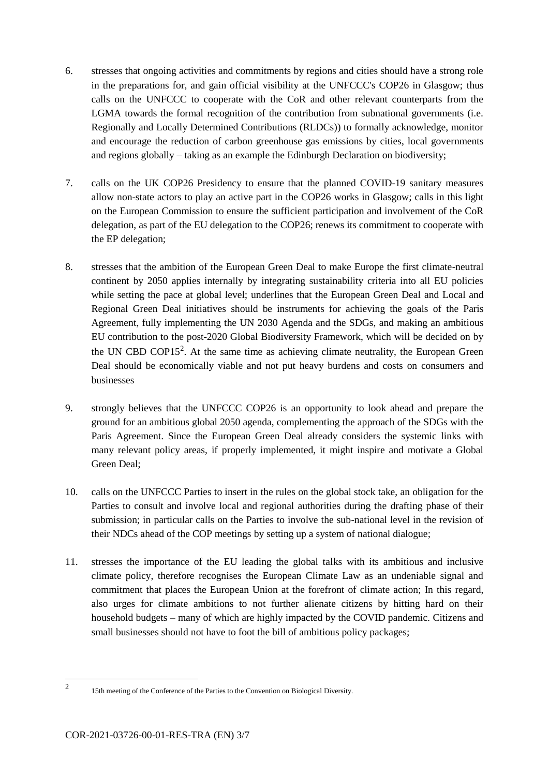- 6. stresses that ongoing activities and commitments by regions and cities should have a strong role in the preparations for, and gain official visibility at the UNFCCC's COP26 in Glasgow; thus calls on the UNFCCC to cooperate with the CoR and other relevant counterparts from the LGMA towards the formal recognition of the contribution from subnational governments (i.e. Regionally and Locally Determined Contributions (RLDCs)) to formally acknowledge, monitor and encourage the reduction of carbon greenhouse gas emissions by cities, local governments and regions globally – taking as an example the Edinburgh Declaration on biodiversity;
- 7. calls on the UK COP26 Presidency to ensure that the planned COVID-19 sanitary measures allow non-state actors to play an active part in the COP26 works in Glasgow; calls in this light on the European Commission to ensure the sufficient participation and involvement of the CoR delegation, as part of the EU delegation to the COP26; renews its commitment to cooperate with the EP delegation;
- 8. stresses that the ambition of the European Green Deal to make Europe the first climate-neutral continent by 2050 applies internally by integrating sustainability criteria into all EU policies while setting the pace at global level; underlines that the European Green Deal and Local and Regional Green Deal initiatives should be instruments for achieving the goals of the Paris Agreement, fully implementing the UN 2030 Agenda and the SDGs, and making an ambitious EU contribution to the post-2020 Global Biodiversity Framework, which will be decided on by the UN CBD COP15<sup>2</sup>. At the same time as achieving climate neutrality, the European Green Deal should be economically viable and not put heavy burdens and costs on consumers and businesses
- 9. strongly believes that the UNFCCC COP26 is an opportunity to look ahead and prepare the ground for an ambitious global 2050 agenda, complementing the approach of the SDGs with the Paris Agreement. Since the European Green Deal already considers the systemic links with many relevant policy areas, if properly implemented, it might inspire and motivate a Global Green Deal;
- 10. calls on the UNFCCC Parties to insert in the rules on the global stock take, an obligation for the Parties to consult and involve local and regional authorities during the drafting phase of their submission; in particular calls on the Parties to involve the sub-national level in the revision of their NDCs ahead of the COP meetings by setting up a system of national dialogue;
- 11. stresses the importance of the EU leading the global talks with its ambitious and inclusive climate policy, therefore recognises the European Climate Law as an undeniable signal and commitment that places the European Union at the forefront of climate action; In this regard, also urges for climate ambitions to not further alienate citizens by hitting hard on their household budgets – many of which are highly impacted by the COVID pandemic. Citizens and small businesses should not have to foot the bill of ambitious policy packages;

<sup>-</sup>2

<sup>15</sup>th meeting of the Conference of the Parties to the Convention on Biological Diversity.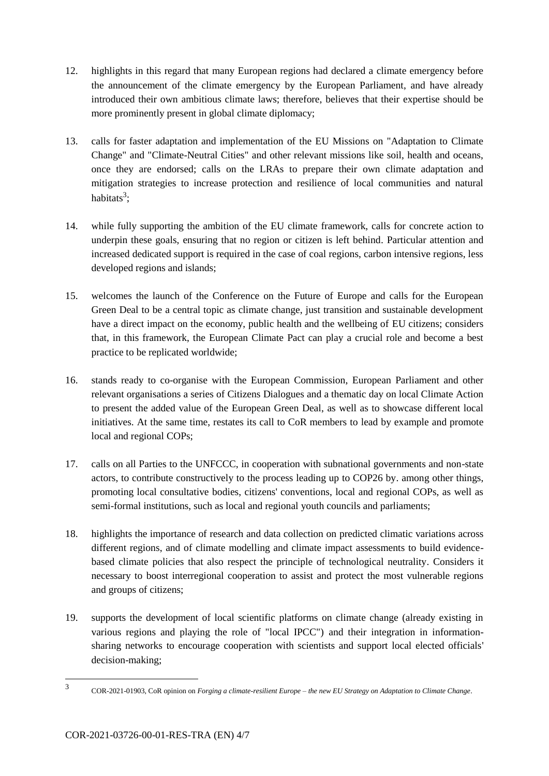- 12. highlights in this regard that many European regions had declared a climate emergency before the announcement of the climate emergency by the European Parliament, and have already introduced their own ambitious climate laws; therefore, believes that their expertise should be more prominently present in global climate diplomacy;
- 13. calls for faster adaptation and implementation of the EU Missions on "Adaptation to Climate Change" and "Climate-Neutral Cities" and other relevant missions like soil, health and oceans, once they are endorsed; calls on the LRAs to prepare their own climate adaptation and mitigation strategies to increase protection and resilience of local communities and natural habitats<sup>3</sup>;
- 14. while fully supporting the ambition of the EU climate framework, calls for concrete action to underpin these goals, ensuring that no region or citizen is left behind. Particular attention and increased dedicated support is required in the case of coal regions, carbon intensive regions, less developed regions and islands;
- 15. welcomes the launch of the Conference on the Future of Europe and calls for the European Green Deal to be a central topic as climate change, just transition and sustainable development have a direct impact on the economy, public health and the wellbeing of EU citizens; considers that, in this framework, the European Climate Pact can play a crucial role and become a best practice to be replicated worldwide;
- 16. stands ready to co-organise with the European Commission, European Parliament and other relevant organisations a series of Citizens Dialogues and a thematic day on local Climate Action to present the added value of the European Green Deal, as well as to showcase different local initiatives. At the same time, restates its call to CoR members to lead by example and promote local and regional COPs;
- 17. calls on all Parties to the UNFCCC, in cooperation with subnational governments and non-state actors, to contribute constructively to the process leading up to COP26 by. among other things, promoting local consultative bodies, citizens' conventions, local and regional COPs, as well as semi-formal institutions, such as local and regional youth councils and parliaments;
- 18. highlights the importance of research and data collection on predicted climatic variations across different regions, and of climate modelling and climate impact assessments to build evidencebased climate policies that also respect the principle of technological neutrality. Considers it necessary to boost interregional cooperation to assist and protect the most vulnerable regions and groups of citizens;
- 19. supports the development of local scientific platforms on climate change (already existing in various regions and playing the role of "local IPCC") and their integration in informationsharing networks to encourage cooperation with scientists and support local elected officials' decision-making;

-

<sup>3</sup> COR-2021-01903, CoR opinion on *Forging a climate-resilient Europe – the new EU Strategy on Adaptation to Climate Change*.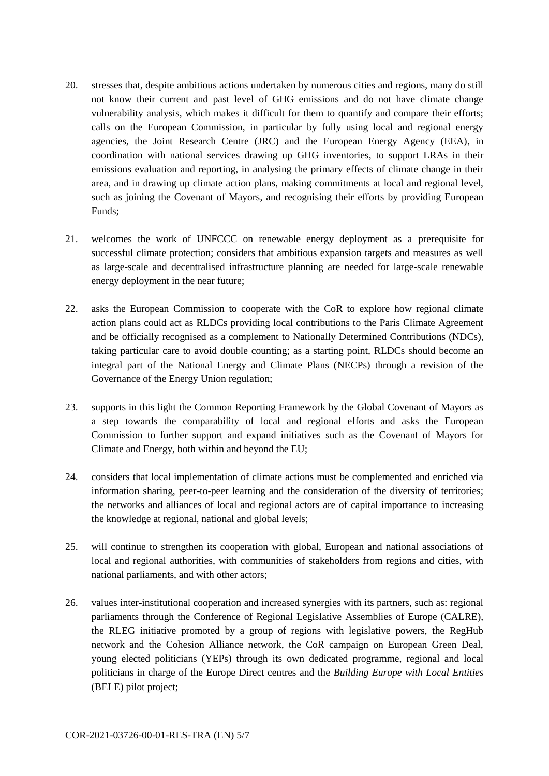- 20. stresses that, despite ambitious actions undertaken by numerous cities and regions, many do still not know their current and past level of GHG emissions and do not have climate change vulnerability analysis, which makes it difficult for them to quantify and compare their efforts; calls on the European Commission, in particular by fully using local and regional energy agencies, the Joint Research Centre (JRC) and the European Energy Agency (EEA), in coordination with national services drawing up GHG inventories, to support LRAs in their emissions evaluation and reporting, in analysing the primary effects of climate change in their area, and in drawing up climate action plans, making commitments at local and regional level, such as joining the Covenant of Mayors, and recognising their efforts by providing European Funds;
- 21. welcomes the work of UNFCCC on renewable energy deployment as a prerequisite for successful climate protection; considers that ambitious expansion targets and measures as well as large-scale and decentralised infrastructure planning are needed for large-scale renewable energy deployment in the near future;
- 22. asks the European Commission to cooperate with the CoR to explore how regional climate action plans could act as RLDCs providing local contributions to the Paris Climate Agreement and be officially recognised as a complement to Nationally Determined Contributions (NDCs), taking particular care to avoid double counting; as a starting point, RLDCs should become an integral part of the National Energy and Climate Plans (NECPs) through a revision of the Governance of the Energy Union regulation;
- 23. supports in this light the Common Reporting Framework by the Global Covenant of Mayors as a step towards the comparability of local and regional efforts and asks the European Commission to further support and expand initiatives such as the Covenant of Mayors for Climate and Energy, both within and beyond the EU;
- 24. considers that local implementation of climate actions must be complemented and enriched via information sharing, peer-to-peer learning and the consideration of the diversity of territories; the networks and alliances of local and regional actors are of capital importance to increasing the knowledge at regional, national and global levels;
- 25. will continue to strengthen its cooperation with global, European and national associations of local and regional authorities, with communities of stakeholders from regions and cities, with national parliaments, and with other actors;
- 26. values inter-institutional cooperation and increased synergies with its partners, such as: regional parliaments through the Conference of Regional Legislative Assemblies of Europe (CALRE), the RLEG initiative promoted by a group of regions with legislative powers, the RegHub network and the Cohesion Alliance network, the CoR campaign on European Green Deal, young elected politicians (YEPs) through its own dedicated programme, regional and local politicians in charge of the Europe Direct centres and the *Building Europe with Local Entities* (BELE) pilot project;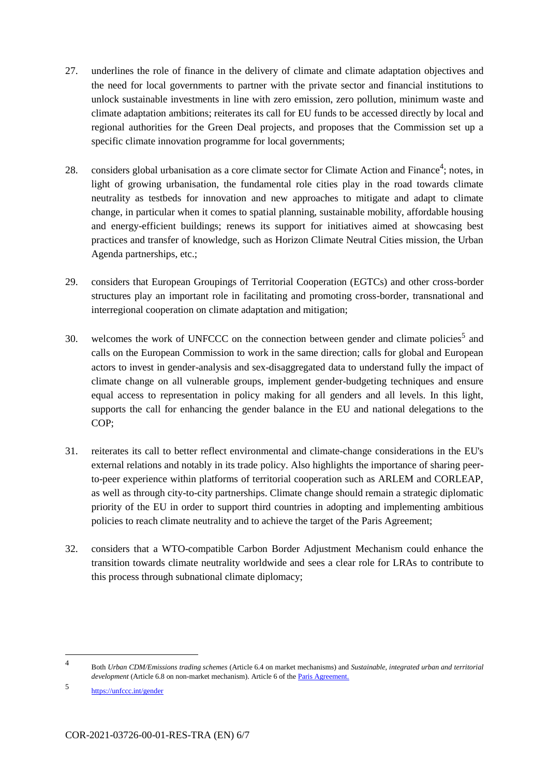- 27. underlines the role of finance in the delivery of climate and climate adaptation objectives and the need for local governments to partner with the private sector and financial institutions to unlock sustainable investments in line with zero emission, zero pollution, minimum waste and climate adaptation ambitions; reiterates its call for EU funds to be accessed directly by local and regional authorities for the Green Deal projects, and proposes that the Commission set up a specific climate innovation programme for local governments;
- 28. considers global urbanisation as a core climate sector for Climate Action and Finance<sup>4</sup>; notes, in light of growing urbanisation, the fundamental role cities play in the road towards climate neutrality as testbeds for innovation and new approaches to mitigate and adapt to climate change, in particular when it comes to spatial planning, sustainable mobility, affordable housing and energy-efficient buildings; renews its support for initiatives aimed at showcasing best practices and transfer of knowledge, such as Horizon Climate Neutral Cities mission, the Urban Agenda partnerships, etc.;
- 29. considers that European Groupings of Territorial Cooperation (EGTCs) and other cross-border structures play an important role in facilitating and promoting cross-border, transnational and interregional cooperation on climate adaptation and mitigation;
- 30. welcomes the work of UNFCCC on the connection between gender and climate policies<sup>5</sup> and calls on the European Commission to work in the same direction; calls for global and European actors to invest in gender-analysis and sex-disaggregated data to understand fully the impact of climate change on all vulnerable groups, implement gender-budgeting techniques and ensure equal access to representation in policy making for all genders and all levels. In this light, supports the call for enhancing the gender balance in the EU and national delegations to the COP;
- 31. reiterates its call to better reflect environmental and climate-change considerations in the EU's external relations and notably in its trade policy. Also highlights the importance of sharing peerto-peer experience within platforms of territorial cooperation such as ARLEM and CORLEAP, as well as through city-to-city partnerships. Climate change should remain a strategic diplomatic priority of the EU in order to support third countries in adopting and implementing ambitious policies to reach climate neutrality and to achieve the target of the Paris Agreement;
- 32. considers that a WTO-compatible Carbon Border Adjustment Mechanism could enhance the transition towards climate neutrality worldwide and sees a clear role for LRAs to contribute to this process through subnational climate diplomacy;

1

<sup>4</sup> Both *Urban CDM/Emissions trading schemes* (Article 6.4 on market mechanisms) and *Sustainable, integrated urban and territorial development* (Article 6.8 on non-market mechanism). Article 6 of the **Paris Agreement**.

<sup>5</sup> <https://unfccc.int/gender>